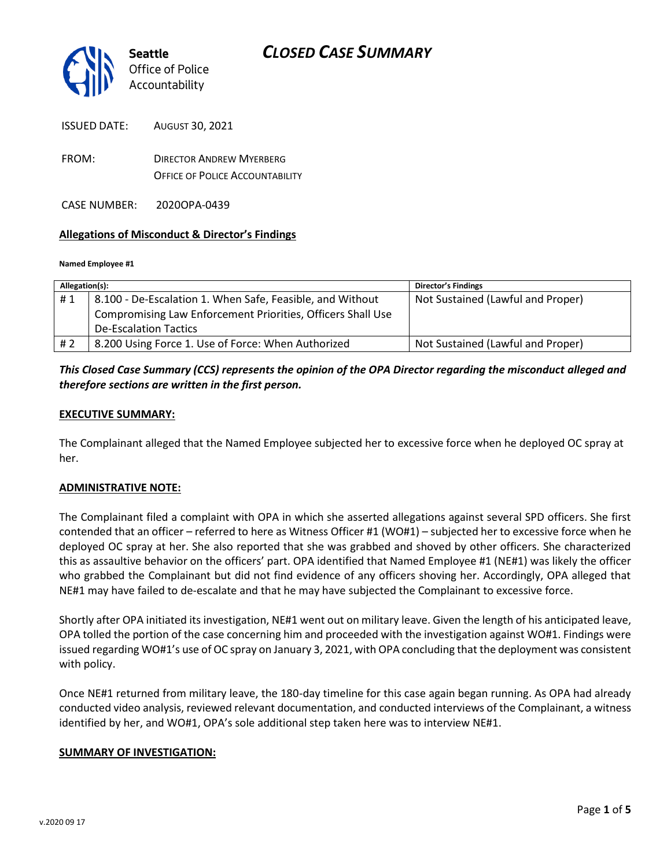

ISSUED DATE: AUGUST 30, 2021

FROM: DIRECTOR ANDREW MYERBERG OFFICE OF POLICE ACCOUNTABILITY

CASE NUMBER: 2020OPA-0439

### **Allegations of Misconduct & Director's Findings**

#### **Named Employee #1**

| Allegation(s): |                                                             | <b>Director's Findings</b>        |
|----------------|-------------------------------------------------------------|-----------------------------------|
| #1             | 8.100 - De-Escalation 1. When Safe, Feasible, and Without   | Not Sustained (Lawful and Proper) |
|                | Compromising Law Enforcement Priorities, Officers Shall Use |                                   |
|                | <b>De-Escalation Tactics</b>                                |                                   |
| # 2            | 8.200 Using Force 1. Use of Force: When Authorized          | Not Sustained (Lawful and Proper) |

### *This Closed Case Summary (CCS) represents the opinion of the OPA Director regarding the misconduct alleged and therefore sections are written in the first person.*

### **EXECUTIVE SUMMARY:**

The Complainant alleged that the Named Employee subjected her to excessive force when he deployed OC spray at her.

### **ADMINISTRATIVE NOTE:**

The Complainant filed a complaint with OPA in which she asserted allegations against several SPD officers. She first contended that an officer – referred to here as Witness Officer #1 (WO#1) – subjected her to excessive force when he deployed OC spray at her. She also reported that she was grabbed and shoved by other officers. She characterized this as assaultive behavior on the officers' part. OPA identified that Named Employee #1 (NE#1) was likely the officer who grabbed the Complainant but did not find evidence of any officers shoving her. Accordingly, OPA alleged that NE#1 may have failed to de-escalate and that he may have subjected the Complainant to excessive force.

Shortly after OPA initiated its investigation, NE#1 went out on military leave. Given the length of his anticipated leave, OPA tolled the portion of the case concerning him and proceeded with the investigation against WO#1. Findings were issued regarding WO#1's use of OC spray on January 3, 2021, with OPA concluding that the deployment was consistent with policy.

Once NE#1 returned from military leave, the 180-day timeline for this case again began running. As OPA had already conducted video analysis, reviewed relevant documentation, and conducted interviews of the Complainant, a witness identified by her, and WO#1, OPA's sole additional step taken here was to interview NE#1.

### **SUMMARY OF INVESTIGATION:**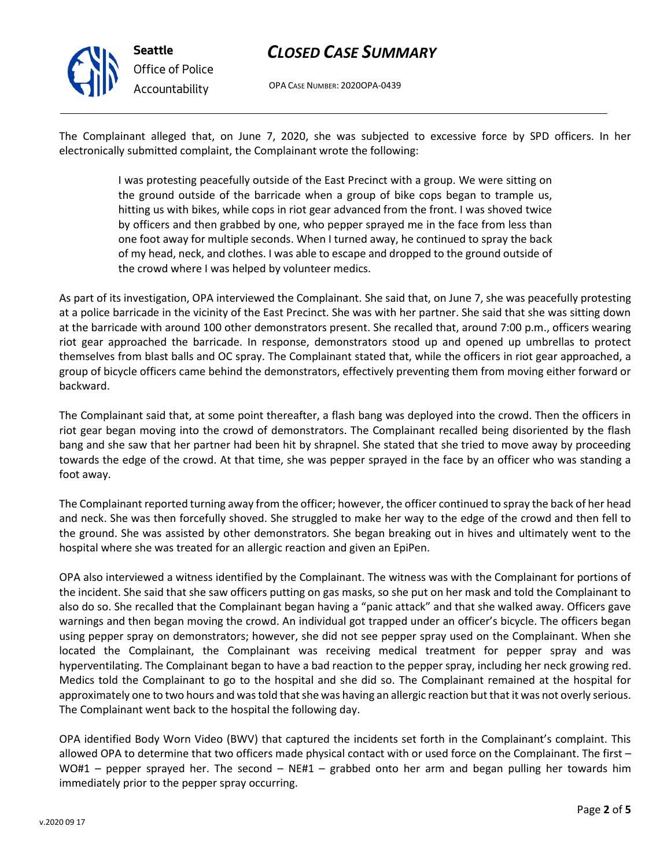

# *CLOSED CASE SUMMARY*

OPA CASE NUMBER: 2020OPA-0439

The Complainant alleged that, on June 7, 2020, she was subjected to excessive force by SPD officers. In her electronically submitted complaint, the Complainant wrote the following:

> I was protesting peacefully outside of the East Precinct with a group. We were sitting on the ground outside of the barricade when a group of bike cops began to trample us, hitting us with bikes, while cops in riot gear advanced from the front. I was shoved twice by officers and then grabbed by one, who pepper sprayed me in the face from less than one foot away for multiple seconds. When I turned away, he continued to spray the back of my head, neck, and clothes. I was able to escape and dropped to the ground outside of the crowd where I was helped by volunteer medics.

As part of its investigation, OPA interviewed the Complainant. She said that, on June 7, she was peacefully protesting at a police barricade in the vicinity of the East Precinct. She was with her partner. She said that she was sitting down at the barricade with around 100 other demonstrators present. She recalled that, around 7:00 p.m., officers wearing riot gear approached the barricade. In response, demonstrators stood up and opened up umbrellas to protect themselves from blast balls and OC spray. The Complainant stated that, while the officers in riot gear approached, a group of bicycle officers came behind the demonstrators, effectively preventing them from moving either forward or backward.

The Complainant said that, at some point thereafter, a flash bang was deployed into the crowd. Then the officers in riot gear began moving into the crowd of demonstrators. The Complainant recalled being disoriented by the flash bang and she saw that her partner had been hit by shrapnel. She stated that she tried to move away by proceeding towards the edge of the crowd. At that time, she was pepper sprayed in the face by an officer who was standing a foot away.

The Complainant reported turning away from the officer; however, the officer continued to spray the back of her head and neck. She was then forcefully shoved. She struggled to make her way to the edge of the crowd and then fell to the ground. She was assisted by other demonstrators. She began breaking out in hives and ultimately went to the hospital where she was treated for an allergic reaction and given an EpiPen.

OPA also interviewed a witness identified by the Complainant. The witness was with the Complainant for portions of the incident. She said that she saw officers putting on gas masks, so she put on her mask and told the Complainant to also do so. She recalled that the Complainant began having a "panic attack" and that she walked away. Officers gave warnings and then began moving the crowd. An individual got trapped under an officer's bicycle. The officers began using pepper spray on demonstrators; however, she did not see pepper spray used on the Complainant. When she located the Complainant, the Complainant was receiving medical treatment for pepper spray and was hyperventilating. The Complainant began to have a bad reaction to the pepper spray, including her neck growing red. Medics told the Complainant to go to the hospital and she did so. The Complainant remained at the hospital for approximately one to two hours and was told that she was having an allergic reaction but that it was not overly serious. The Complainant went back to the hospital the following day.

OPA identified Body Worn Video (BWV) that captured the incidents set forth in the Complainant's complaint. This allowed OPA to determine that two officers made physical contact with or used force on the Complainant. The first – WO#1 – pepper sprayed her. The second – NE#1 – grabbed onto her arm and began pulling her towards him immediately prior to the pepper spray occurring.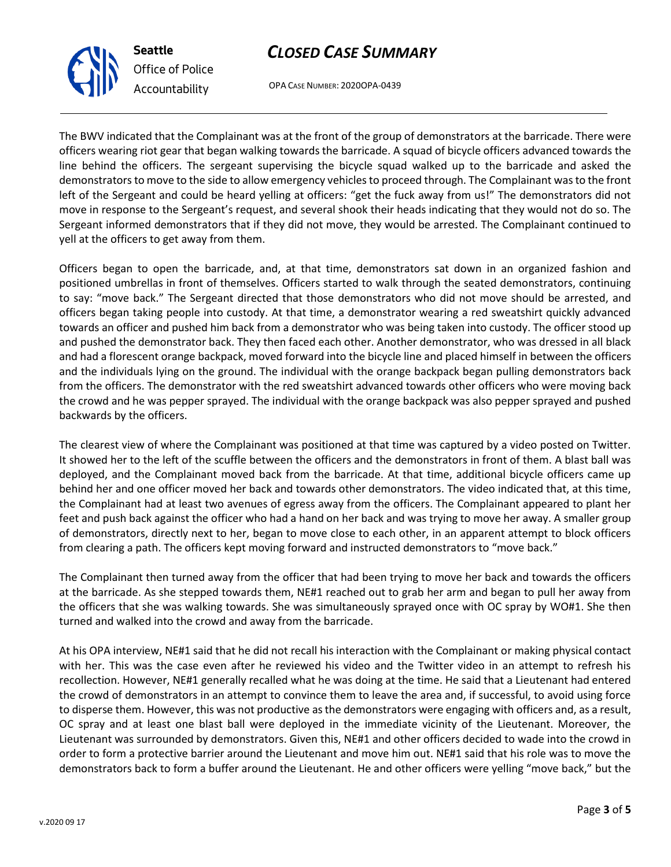# *CLOSED CASE SUMMARY*

OPA CASE NUMBER: 2020OPA-0439

The BWV indicated that the Complainant was at the front of the group of demonstrators at the barricade. There were officers wearing riot gear that began walking towards the barricade. A squad of bicycle officers advanced towards the line behind the officers. The sergeant supervising the bicycle squad walked up to the barricade and asked the demonstrators to move to the side to allow emergency vehicles to proceed through. The Complainant was to the front left of the Sergeant and could be heard yelling at officers: "get the fuck away from us!" The demonstrators did not move in response to the Sergeant's request, and several shook their heads indicating that they would not do so. The Sergeant informed demonstrators that if they did not move, they would be arrested. The Complainant continued to yell at the officers to get away from them.

Officers began to open the barricade, and, at that time, demonstrators sat down in an organized fashion and positioned umbrellas in front of themselves. Officers started to walk through the seated demonstrators, continuing to say: "move back." The Sergeant directed that those demonstrators who did not move should be arrested, and officers began taking people into custody. At that time, a demonstrator wearing a red sweatshirt quickly advanced towards an officer and pushed him back from a demonstrator who was being taken into custody. The officer stood up and pushed the demonstrator back. They then faced each other. Another demonstrator, who was dressed in all black and had a florescent orange backpack, moved forward into the bicycle line and placed himself in between the officers and the individuals lying on the ground. The individual with the orange backpack began pulling demonstrators back from the officers. The demonstrator with the red sweatshirt advanced towards other officers who were moving back the crowd and he was pepper sprayed. The individual with the orange backpack was also pepper sprayed and pushed backwards by the officers.

The clearest view of where the Complainant was positioned at that time was captured by a video posted on Twitter. It showed her to the left of the scuffle between the officers and the demonstrators in front of them. A blast ball was deployed, and the Complainant moved back from the barricade. At that time, additional bicycle officers came up behind her and one officer moved her back and towards other demonstrators. The video indicated that, at this time, the Complainant had at least two avenues of egress away from the officers. The Complainant appeared to plant her feet and push back against the officer who had a hand on her back and was trying to move her away. A smaller group of demonstrators, directly next to her, began to move close to each other, in an apparent attempt to block officers from clearing a path. The officers kept moving forward and instructed demonstrators to "move back."

The Complainant then turned away from the officer that had been trying to move her back and towards the officers at the barricade. As she stepped towards them, NE#1 reached out to grab her arm and began to pull her away from the officers that she was walking towards. She was simultaneously sprayed once with OC spray by WO#1. She then turned and walked into the crowd and away from the barricade.

At his OPA interview, NE#1 said that he did not recall his interaction with the Complainant or making physical contact with her. This was the case even after he reviewed his video and the Twitter video in an attempt to refresh his recollection. However, NE#1 generally recalled what he was doing at the time. He said that a Lieutenant had entered the crowd of demonstrators in an attempt to convince them to leave the area and, if successful, to avoid using force to disperse them. However, this was not productive as the demonstrators were engaging with officers and, as a result, OC spray and at least one blast ball were deployed in the immediate vicinity of the Lieutenant. Moreover, the Lieutenant was surrounded by demonstrators. Given this, NE#1 and other officers decided to wade into the crowd in order to form a protective barrier around the Lieutenant and move him out. NE#1 said that his role was to move the demonstrators back to form a buffer around the Lieutenant. He and other officers were yelling "move back," but the



**Seattle**

*Office of Police Accountability*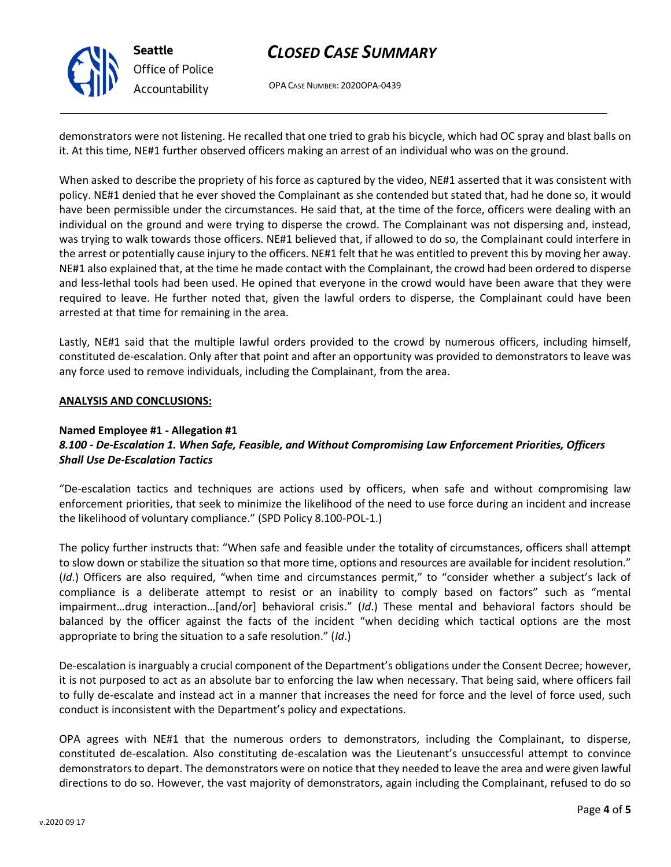

# *CLOSED CASE SUMMARY*

OPA CASE NUMBER: 2020OPA-0439

demonstrators were not listening. He recalled that one tried to grab his bicycle, which had OC spray and blast balls on it. At this time, NE#1 further observed officers making an arrest of an individual who was on the ground.

When asked to describe the propriety of his force as captured by the video, NE#1 asserted that it was consistent with policy. NE#1 denied that he ever shoved the Complainant as she contended but stated that, had he done so, it would have been permissible under the circumstances. He said that, at the time of the force, officers were dealing with an individual on the ground and were trying to disperse the crowd. The Complainant was not dispersing and, instead, was trying to walk towards those officers. NE#1 believed that, if allowed to do so, the Complainant could interfere in the arrest or potentially cause injury to the officers. NE#1 felt that he was entitled to prevent this by moving her away. NE#1 also explained that, at the time he made contact with the Complainant, the crowd had been ordered to disperse and less-lethal tools had been used. He opined that everyone in the crowd would have been aware that they were required to leave. He further noted that, given the lawful orders to disperse, the Complainant could have been arrested at that time for remaining in the area.

Lastly, NE#1 said that the multiple lawful orders provided to the crowd by numerous officers, including himself, constituted de-escalation. Only after that point and after an opportunity was provided to demonstrators to leave was any force used to remove individuals, including the Complainant, from the area.

#### **ANALYSIS AND CONCLUSIONS:**

#### **Named Employee #1 - Allegation #1**

### *8.100 - De-Escalation 1. When Safe, Feasible, and Without Compromising Law Enforcement Priorities, Officers Shall Use De-Escalation Tactics*

"De-escalation tactics and techniques are actions used by officers, when safe and without compromising law enforcement priorities, that seek to minimize the likelihood of the need to use force during an incident and increase the likelihood of voluntary compliance." (SPD Policy 8.100-POL-1.)

The policy further instructs that: "When safe and feasible under the totality of circumstances, officers shall attempt to slow down or stabilize the situation so that more time, options and resources are available for incident resolution." (*Id*.) Officers are also required, "when time and circumstances permit," to "consider whether a subject's lack of compliance is a deliberate attempt to resist or an inability to comply based on factors" such as "mental impairment…drug interaction…[and/or] behavioral crisis." (*Id*.) These mental and behavioral factors should be balanced by the officer against the facts of the incident "when deciding which tactical options are the most appropriate to bring the situation to a safe resolution." (*Id*.)

De-escalation is inarguably a crucial component of the Department's obligations under the Consent Decree; however, it is not purposed to act as an absolute bar to enforcing the law when necessary. That being said, where officers fail to fully de-escalate and instead act in a manner that increases the need for force and the level of force used, such conduct is inconsistent with the Department's policy and expectations.

OPA agrees with NE#1 that the numerous orders to demonstrators, including the Complainant, to disperse, constituted de-escalation. Also constituting de-escalation was the Lieutenant's unsuccessful attempt to convince demonstrators to depart. The demonstrators were on notice that they needed to leave the area and were given lawful directions to do so. However, the vast majority of demonstrators, again including the Complainant, refused to do so